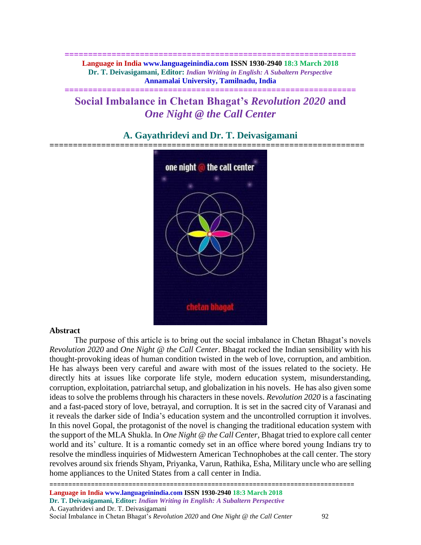**============================================================== Language in India www.languageinindia.com ISSN 1930-2940 18:3 March 2018 Dr. T. Deivasigamani, Editor:** *Indian Writing in English: A Subaltern Perspective* **Annamalai University, Tamilnadu, India**

**==============================================================**

# **Social Imbalance in Chetan Bhagat's** *Revolution 2020* **and**  *One Night @ the Call Center*

# one night @ the call center chetan bhagal

# **A. Gayathridevi and Dr. T. Deivasigamani ===================================================================**

### **Abstract**

The purpose of this article is to bring out the social imbalance in Chetan Bhagat's novels *Revolution 2020* and *One Night @ the Call Center*. Bhagat rocked the Indian sensibility with his thought-provoking ideas of human condition twisted in the web of love, corruption, and ambition. He has always been very careful and aware with most of the issues related to the society. He directly hits at issues like corporate life style, modern education system, misunderstanding, corruption, exploitation, patriarchal setup, and globalization in his novels. He has also given some ideas to solve the problems through his characters in these novels. *Revolution 2020* is a fascinating and a fast-paced story of love, betrayal, and corruption. It is set in the sacred city of Varanasi and it reveals the darker side of India's education system and the uncontrolled corruption it involves. In this novel Gopal, the protagonist of the novel is changing the traditional education system with the support of the MLA Shukla. In *One Night @ the Call Center,* Bhagat tried to explore call center world and its' culture. It is a romantic comedy set in an office where bored young Indians try to resolve the mindless inquiries of Midwestern American Technophobes at the call center. The story revolves around six friends Shyam, Priyanka, Varun, Rathika, Esha, Military uncle who are selling home appliances to the United States from a call center in India.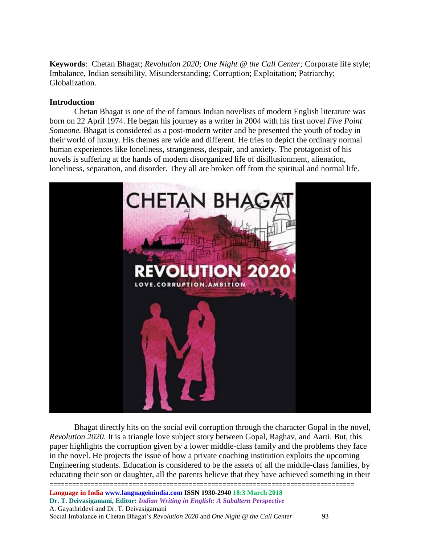**Keywords**: Chetan Bhagat; *Revolution 2020*; *One Night @ the Call Center;* Corporate life style; Imbalance, Indian sensibility, Misunderstanding; Corruption; Exploitation; Patriarchy; Globalization.

## **Introduction**

Chetan Bhagat is one of the of famous Indian novelists of modern English literature was born on 22 April 1974. He began his journey as a writer in 2004 with his first novel *Five Point Someone.* Bhagat is considered as a post-modern writer and he presented the youth of today in their world of luxury. His themes are wide and different. He tries to depict the ordinary normal human experiences like loneliness, strangeness, despair, and anxiety. The protagonist of his novels is suffering at the hands of modern disorganized life of disillusionment, alienation, loneliness, separation, and disorder. They all are broken off from the spiritual and normal life.



================================================================================= **Language in India www.languageinindia.com ISSN 1930-2940 18:3 March 2018 Dr. T. Deivasigamani, Editor:** *Indian Writing in English: A Subaltern Perspective* A. Gayathridevi and Dr. T. Deivasigamani Social Imbalance in Chetan Bhagat's *Revolution 2020* and *One Night @ the Call Center* 93 Bhagat directly hits on the social evil corruption through the character Gopal in the novel, *Revolution 2020*. It is a triangle love subject story between Gopal, Raghav, and Aarti. But, this paper highlights the corruption given by a lower middle-class family and the problems they face in the novel. He projects the issue of how a private coaching institution exploits the upcoming Engineering students. Education is considered to be the assets of all the middle-class families, by educating their son or daughter, all the parents believe that they have achieved something in their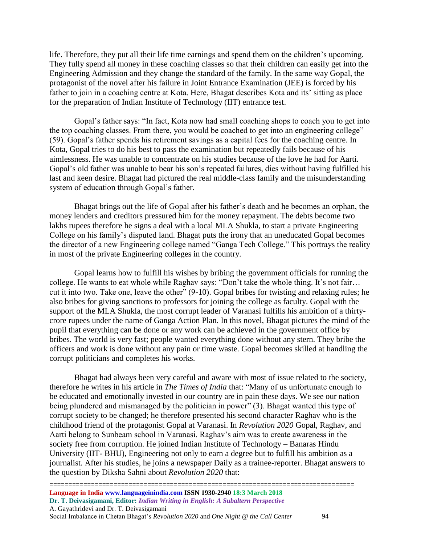life. Therefore, they put all their life time earnings and spend them on the children's upcoming. They fully spend all money in these coaching classes so that their children can easily get into the Engineering Admission and they change the standard of the family. In the same way Gopal, the protagonist of the novel after his failure in Joint Entrance Examination (JEE) is forced by his father to join in a coaching centre at Kota. Here, Bhagat describes Kota and its' sitting as place for the preparation of Indian Institute of Technology (IIT) entrance test.

Gopal's father says: "In fact, Kota now had small coaching shops to coach you to get into the top coaching classes. From there, you would be coached to get into an engineering college" (59). Gopal's father spends his retirement savings as a capital fees for the coaching centre. In Kota, Gopal tries to do his best to pass the examination but repeatedly fails because of his aimlessness. He was unable to concentrate on his studies because of the love he had for Aarti. Gopal's old father was unable to bear his son's repeated failures, dies without having fulfilled his last and keen desire. Bhagat had pictured the real middle-class family and the misunderstanding system of education through Gopal's father.

Bhagat brings out the life of Gopal after his father's death and he becomes an orphan, the money lenders and creditors pressured him for the money repayment. The debts become two lakhs rupees therefore he signs a deal with a local MLA Shukla, to start a private Engineering College on his family's disputed land. Bhagat puts the irony that an uneducated Gopal becomes the director of a new Engineering college named "Ganga Tech College." This portrays the reality in most of the private Engineering colleges in the country.

Gopal learns how to fulfill his wishes by bribing the government officials for running the college. He wants to eat whole while Raghav says: "Don't take the whole thing. It's not fair… cut it into two. Take one, leave the other" (9-10). Gopal bribes for twisting and relaxing rules; he also bribes for giving sanctions to professors for joining the college as faculty. Gopal with the support of the MLA Shukla, the most corrupt leader of Varanasi fulfills his ambition of a thirtycrore rupees under the name of Ganga Action Plan. In this novel, Bhagat pictures the mind of the pupil that everything can be done or any work can be achieved in the government office by bribes. The world is very fast; people wanted everything done without any stern. They bribe the officers and work is done without any pain or time waste. Gopal becomes skilled at handling the corrupt politicians and completes his works.

Bhagat had always been very careful and aware with most of issue related to the society, therefore he writes in his article in *The Times of India* that: "Many of us unfortunate enough to be educated and emotionally invested in our country are in pain these days. We see our nation being plundered and mismanaged by the politician in power" (3). Bhagat wanted this type of corrupt society to be changed; he therefore presented his second character Raghav who is the childhood friend of the protagonist Gopal at Varanasi. In *Revolution 2020* Gopal, Raghav, and Aarti belong to Sunbeam school in Varanasi. Raghav's aim was to create awareness in the society free from corruption. He joined Indian Institute of Technology – Banaras Hindu University (IIT- BHU), Engineering not only to earn a degree but to fulfill his ambition as a journalist. After his studies, he joins a newspaper Daily as a trainee-reporter. Bhagat answers to the question by Diksha Sahni about *Revolution 2020* that:

================================================================================= **Language in India www.languageinindia.com ISSN 1930-2940 18:3 March 2018 Dr. T. Deivasigamani, Editor:** *Indian Writing in English: A Subaltern Perspective* A. Gayathridevi and Dr. T. Deivasigamani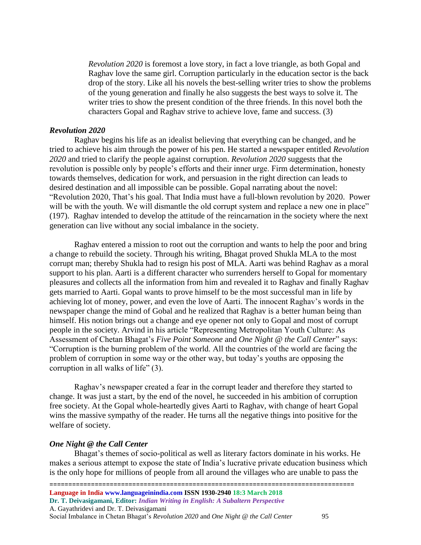*Revolution 2020* is foremost a love story, in fact a love triangle, as both Gopal and Raghav love the same girl. Corruption particularly in the education sector is the back drop of the story. Like all his novels the best-selling writer tries to show the problems of the young generation and finally he also suggests the best ways to solve it. The writer tries to show the present condition of the three friends. In this novel both the characters Gopal and Raghav strive to achieve love, fame and success. (3)

### *Revolution 2020*

Raghav begins his life as an idealist believing that everything can be changed, and he tried to achieve his aim through the power of his pen. He started a newspaper entitled *Revolution 2020* and tried to clarify the people against corruption. *Revolution 2020* suggests that the revolution is possible only by people's efforts and their inner urge. Firm determination, honesty towards themselves, dedication for work, and persuasion in the right direction can leads to desired destination and all impossible can be possible. Gopal narrating about the novel: "Revolution 2020, That's his goal. That India must have a full-blown revolution by 2020. Power will be with the youth. We will dismantle the old corrupt system and replace a new one in place" (197). Raghav intended to develop the attitude of the reincarnation in the society where the next generation can live without any social imbalance in the society.

Raghav entered a mission to root out the corruption and wants to help the poor and bring a change to rebuild the society. Through his writing, Bhagat proved Shukla MLA to the most corrupt man; thereby Shukla had to resign his post of MLA. Aarti was behind Raghav as a moral support to his plan. Aarti is a different character who surrenders herself to Gopal for momentary pleasures and collects all the information from him and revealed it to Raghav and finally Raghav gets married to Aarti. Gopal wants to prove himself to be the most successful man in life by achieving lot of money, power, and even the love of Aarti. The innocent Raghav's words in the newspaper change the mind of Gobal and he realized that Raghav is a better human being than himself. His notion brings out a change and eye opener not only to Gopal and most of corrupt people in the society. Arvind in his article "Representing Metropolitan Youth Culture: As Assessment of Chetan Bhagat's *Five Point Someone* and *One Night @ the Call Center*" says: "Corruption is the burning problem of the world. All the countries of the world are facing the problem of corruption in some way or the other way, but today's youths are opposing the corruption in all walks of life" (3).

Raghav's newspaper created a fear in the corrupt leader and therefore they started to change. It was just a start, by the end of the novel, he succeeded in his ambition of corruption free society. At the Gopal whole-heartedly gives Aarti to Raghav, with change of heart Gopal wins the massive sympathy of the reader. He turns all the negative things into positive for the welfare of society.

### *One Night @ the Call Center*

Bhagat's themes of socio-political as well as literary factors dominate in his works. He makes a serious attempt to expose the state of India's lucrative private education business which is the only hope for millions of people from all around the villages who are unable to pass the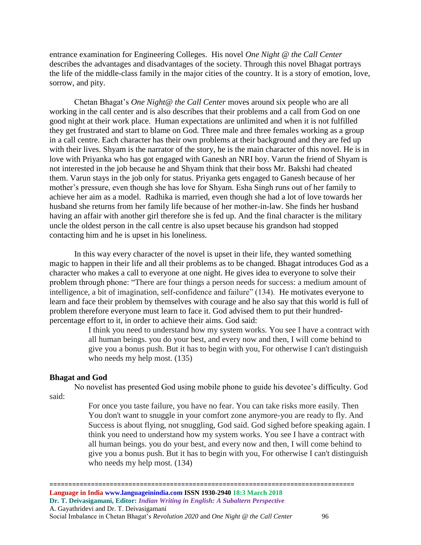entrance examination for Engineering Colleges. His novel *One Night @ the Call Center* describes the advantages and disadvantages of the society. Through this novel Bhagat portrays the life of the middle-class family in the major cities of the country. It is a story of emotion, love, sorrow, and pity.

Chetan Bhagat's *One Night@ the Call Center* moves around six people who are all working in the call center and is also describes that their problems and a call from God on one good night at their work place. Human expectations are unlimited and when it is not fulfilled they get frustrated and start to blame on God. Three male and three females working as a group in a call centre. Each character has their own problems at their background and they are fed up with their lives. Shyam is the narrator of the story, he is the main character of this novel. He is in love with Priyanka who has got engaged with Ganesh an NRI boy. Varun the friend of Shyam is not interested in the job because he and Shyam think that their boss Mr. Bakshi had cheated them. Varun stays in the job only for status. Priyanka gets engaged to Ganesh because of her mother's pressure, even though she has love for Shyam. Esha Singh runs out of her family to achieve her aim as a model. Radhika is married, even though she had a lot of love towards her husband she returns from her family life because of her mother-in-law. She finds her husband having an affair with another girl therefore she is fed up. And the final character is the military uncle the oldest person in the call centre is also upset because his grandson had stopped contacting him and he is upset in his loneliness.

In this way every character of the novel is upset in their life, they wanted something magic to happen in their life and all their problems as to be changed. Bhagat introduces God as a character who makes a call to everyone at one night. He gives idea to everyone to solve their problem through phone: "There are four things a person needs for success: a medium amount of intelligence, a bit of imagination, self-confidence and failure" (134). He motivates everyone to learn and face their problem by themselves with courage and he also say that this world is full of problem therefore everyone must learn to face it. God advised them to put their hundredpercentage effort to it, in order to achieve their aims. God said:

> I think you need to understand how my system works. You see I have a contract with all human beings. you do your best, and every now and then, I will come behind to give you a bonus push. But it has to begin with you, For otherwise I can't distinguish who needs my help most. (135)

### **Bhagat and God**

No novelist has presented God using mobile phone to guide his devotee's difficulty. God said:

> For once you taste failure, you have no fear. You can take risks more easily. Then You don't want to snuggle in your comfort zone anymore-you are ready to fly. And Success is about flying, not snuggling, God said. God sighed before speaking again. I think you need to understand how my system works. You see I have a contract with all human beings. you do your best, and every now and then, I will come behind to give you a bonus push. But it has to begin with you, For otherwise I can't distinguish who needs my help most. (134)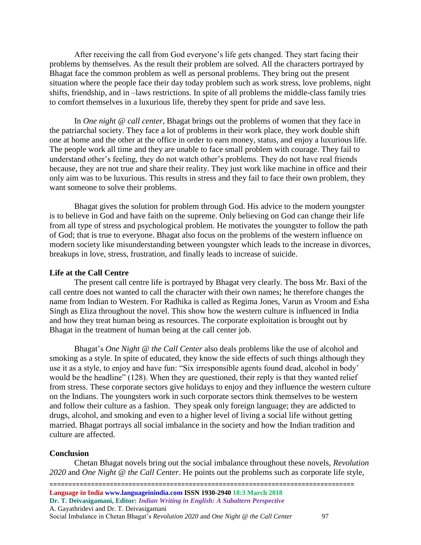After receiving the call from God everyone's life gets changed. They start facing their problems by themselves. As the result their problem are solved. All the characters portrayed by Bhagat face the common problem as well as personal problems. They bring out the present situation where the people face their day today problem such as work stress, love problems, night shifts, friendship, and in –laws restrictions. In spite of all problems the middle-class family tries to comfort themselves in a luxurious life, thereby they spent for pride and save less.

In *One night @ call center*, Bhagat brings out the problems of women that they face in the patriarchal society. They face a lot of problems in their work place, they work double shift one at home and the other at the office in order to earn money, status, and enjoy a luxurious life. The people work all time and they are unable to face small problem with courage. They fail to understand other's feeling, they do not watch other's problems. They do not have real friends because, they are not true and share their reality. They just work like machine in office and their only aim was to be luxurious. This results in stress and they fail to face their own problem, they want someone to solve their problems.

Bhagat gives the solution for problem through God. His advice to the modern youngster is to believe in God and have faith on the supreme. Only believing on God can change their life from all type of stress and psychological problem. He motivates the youngster to follow the path of God; that is true to everyone. Bhagat also focus on the problems of the western influence on modern society like misunderstanding between youngster which leads to the increase in divorces, breakups in love, stress, frustration, and finally leads to increase of suicide.

### **Life at the Call Centre**

The present call centre life is portrayed by Bhagat very clearly. The boss Mr. Baxi of the call centre does not wanted to call the character with their own names; he therefore changes the name from Indian to Western. For Radhika is called as Regima Jones, Varun as Vroom and Esha Singh as Eliza throughout the novel. This show how the western culture is influenced in India and how they treat human being as resources. The corporate exploitation is brought out by Bhagat in the treatment of human being at the call center job.

Bhagat's *One Night @ the Call Center* also deals problems like the use of alcohol and smoking as a style. In spite of educated, they know the side effects of such things although they use it as a style, to enjoy and have fun: "Six irresponsible agents found dead, alcohol in body' would be the headline" (128). When they are questioned, their reply is that they wanted relief from stress. These corporate sectors give holidays to enjoy and they influence the western culture on the Indians. The youngsters work in such corporate sectors think themselves to be western and follow their culture as a fashion. They speak only foreign language; they are addicted to drugs, alcohol, and smoking and even to a higher level of living a social life without getting married. Bhagat portrays all social imbalance in the society and how the Indian tradition and culture are affected.

### **Conclusion**

Chetan Bhagat novels bring out the social imbalance throughout these novels, *Revolution 2020* and *One Night @ the Call Center*. He points out the problems such as corporate life style,